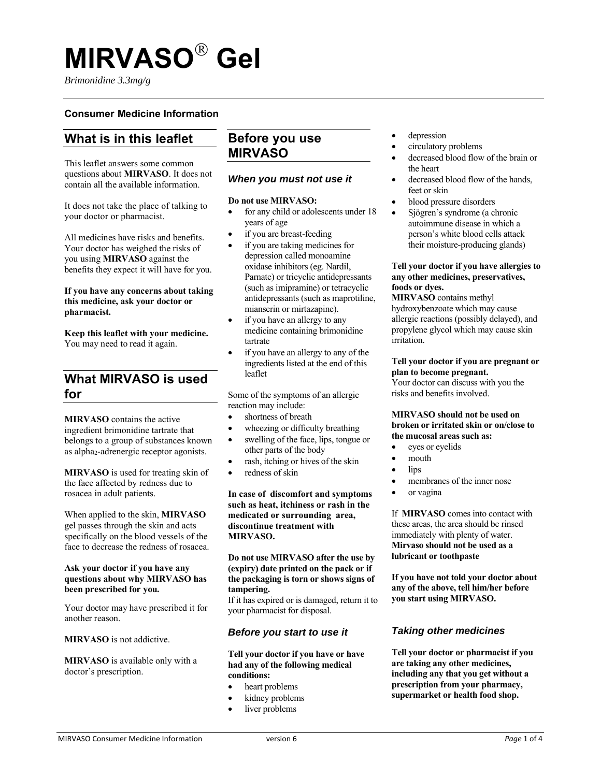# **MIRVASO Gel**

*Brimonidine 3.3mg/g*

# **Consumer Medicine Information**

# **What is in this leaflet**

This leaflet answers some common questions about **MIRVASO**. It does not contain all the available information.

It does not take the place of talking to your doctor or pharmacist.

All medicines have risks and benefits. Your doctor has weighed the risks of you using **MIRVASO** against the benefits they expect it will have for you.

### **If you have any concerns about taking this medicine, ask your doctor or pharmacist.**

**Keep this leaflet with your medicine.**  You may need to read it again.

# **What MIRVASO is used for**

**MIRVASO** contains the active ingredient brimonidine tartrate that belongs to a group of substances known as alpha<sub>2</sub>-adrenergic receptor agonists.

**MIRVASO** is used for treating skin of the face affected by redness due to rosacea in adult patients.

When applied to the skin, **MIRVASO** gel passes through the skin and acts specifically on the blood vessels of the face to decrease the redness of rosacea.

### **Ask your doctor if you have any questions about why MIRVASO has been prescribed for you.**

Your doctor may have prescribed it for another reason.

**MIRVASO** is not addictive.

**MIRVASO** is available only with a doctor's prescription.

# **Before you use MIRVASO**

### *When you must not use it*

### **Do not use MIRVASO:**

- for any child or adolescents under 18 years of age
- if you are breast-feeding
- if you are taking medicines for depression called monoamine oxidase inhibitors (eg. Nardil, Parnate) or tricyclic antidepressants (such as imipramine) or tetracyclic antidepressants (such as maprotiline, mianserin or mirtazapine).
- if you have an allergy to any medicine containing brimonidine tartrate
- if you have an allergy to any of the ingredients listed at the end of this leaflet

Some of the symptoms of an allergic reaction may include:

- shortness of breath
- wheezing or difficulty breathing
- swelling of the face, lips, tongue or other parts of the body
- rash, itching or hives of the skin
- redness of skin

**In case of discomfort and symptoms such as heat, itchiness or rash in the medicated or surrounding area, discontinue treatment with MIRVASO.** 

**Do not use MIRVASO after the use by (expiry) date printed on the pack or if the packaging is torn or shows signs of tampering.**

If it has expired or is damaged, return it to your pharmacist for disposal.

### *Before you start to use it*

### **Tell your doctor if you have or have had any of the following medical conditions:**

- heart problems
- kidney problems
- liver problems
- depression
- circulatory problems
- decreased blood flow of the brain or the heart
- decreased blood flow of the hands, feet or skin
- blood pressure disorders
- Sjögren's syndrome (a chronic autoimmune disease in which a person's white blood cells attack their moisture-producing glands)

### **Tell your doctor if you have allergies to any other medicines, preservatives, foods or dyes.**

**MIRVASO** contains methyl hydroxybenzoate which may cause allergic reactions (possibly delayed), and propylene glycol which may cause skin irritation.

### **Tell your doctor if you are pregnant or plan to become pregnant.**

Your doctor can discuss with you the risks and benefits involved.

### **MIRVASO should not be used on broken or irritated skin or on/close to the mucosal areas such as:**

- eyes or eyelids
- mouth
- lips
- membranes of the inner nose
- or vagina

If **MIRVASO** comes into contact with these areas, the area should be rinsed immediately with plenty of water. **Mirvaso should not be used as a lubricant or toothpaste** 

**If you have not told your doctor about any of the above, tell him/her before you start using MIRVASO.** 

# *Taking other medicines*

**Tell your doctor or pharmacist if you are taking any other medicines, including any that you get without a prescription from your pharmacy, supermarket or health food shop.**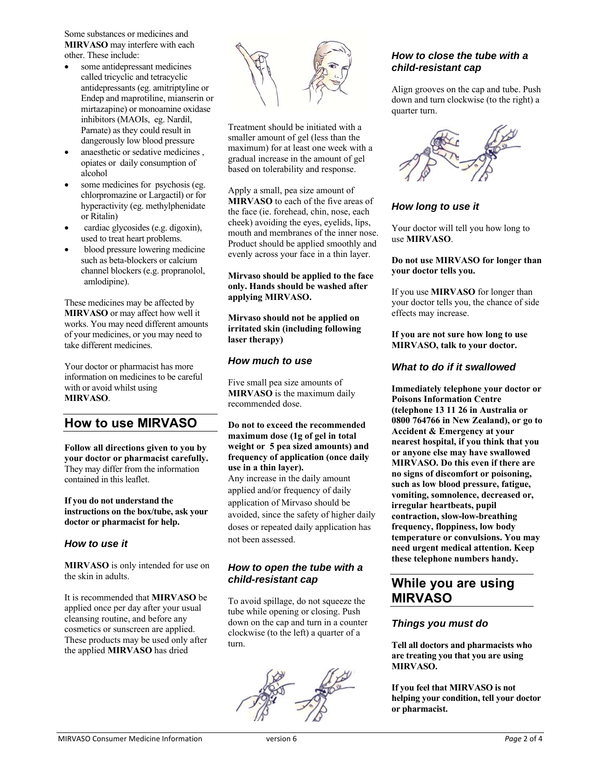Some substances or medicines and **MIRVASO** may interfere with each other. These include:

- some antidepressant medicines called tricyclic and tetracyclic antidepressants (eg. amitriptyline or Endep and maprotiline, mianserin or mirtazapine) or monoamine oxidase inhibitors (MAOIs, eg. Nardil, Parnate) as they could result in dangerously low blood pressure
- anaesthetic or sedative medicines , opiates or daily consumption of alcohol
- some medicines for psychosis (eg. chlorpromazine or Largactil) or for hyperactivity (eg. methylphenidate or Ritalin)
- cardiac glycosides (e.g. digoxin), used to treat heart problems.
- blood pressure lowering medicine such as beta-blockers or calcium channel blockers (e.g. propranolol, amlodipine).

These medicines may be affected by **MIRVASO** or may affect how well it works. You may need different amounts of your medicines, or you may need to take different medicines.

Your doctor or pharmacist has more information on medicines to be careful with or avoid whilst using **MIRVASO**.

# **How to use MIRVASO**

**Follow all directions given to you by your doctor or pharmacist carefully.**  They may differ from the information contained in this leaflet.

### **If you do not understand the instructions on the box/tube, ask your doctor or pharmacist for help.**

# *How to use it*

**MIRVASO** is only intended for use on the skin in adults.

It is recommended that **MIRVASO** be applied once per day after your usual cleansing routine, and before any cosmetics or sunscreen are applied. These products may be used only after the applied **MIRVASO** has dried



Treatment should be initiated with a smaller amount of gel (less than the maximum) for at least one week with a gradual increase in the amount of gel based on tolerability and response.

Apply a small, pea size amount of **MIRVASO** to each of the five areas of the face (ie. forehead, chin, nose, each cheek) avoiding the eyes, eyelids, lips, mouth and membranes of the inner nose. Product should be applied smoothly and evenly across your face in a thin layer.

**Mirvaso should be applied to the face only. Hands should be washed after applying MIRVASO.** 

**Mirvaso should not be applied on irritated skin (including following laser therapy)**

### *How much to use*

Five small pea size amounts of **MIRVASO** is the maximum daily recommended dose.

**Do not to exceed the recommended maximum dose (1g of gel in total weight or 5 pea sized amounts) and frequency of application (once daily use in a thin layer).**  Any increase in the daily amount applied and/or frequency of daily application of Mirvaso should be avoided, since the safety of higher daily doses or repeated daily application has not been assessed.

# *How to open the tube with a child-resistant cap*

To avoid spillage, do not squeeze the tube while opening or closing. Push down on the cap and turn in a counter clockwise (to the left) a quarter of a turn.



# *How to close the tube with a child-resistant cap*

Align grooves on the cap and tube. Push down and turn clockwise (to the right) a quarter turn.



# *How long to use it*

Your doctor will tell you how long to use **MIRVASO**.

### **Do not use MIRVASO for longer than your doctor tells you.**

If you use **MIRVASO** for longer than your doctor tells you, the chance of side effects may increase.

### **If you are not sure how long to use MIRVASO, talk to your doctor.**

# *What to do if it swallowed*

**Immediately telephone your doctor or Poisons Information Centre (telephone 13 11 26 in Australia or 0800 764766 in New Zealand), or go to Accident & Emergency at your nearest hospital, if you think that you or anyone else may have swallowed MIRVASO. Do this even if there are no signs of discomfort or poisoning, such as low blood pressure, fatigue, vomiting, somnolence, decreased or, irregular heartbeats, pupil contraction, slow-low-breathing frequency, floppiness, low body temperature or convulsions. You may need urgent medical attention. Keep these telephone numbers handy.**

# **While you are using MIRVASO**

# *Things you must do*

**Tell all doctors and pharmacists who are treating you that you are using MIRVASO.** 

**If you feel that MIRVASO is not helping your condition, tell your doctor or pharmacist.**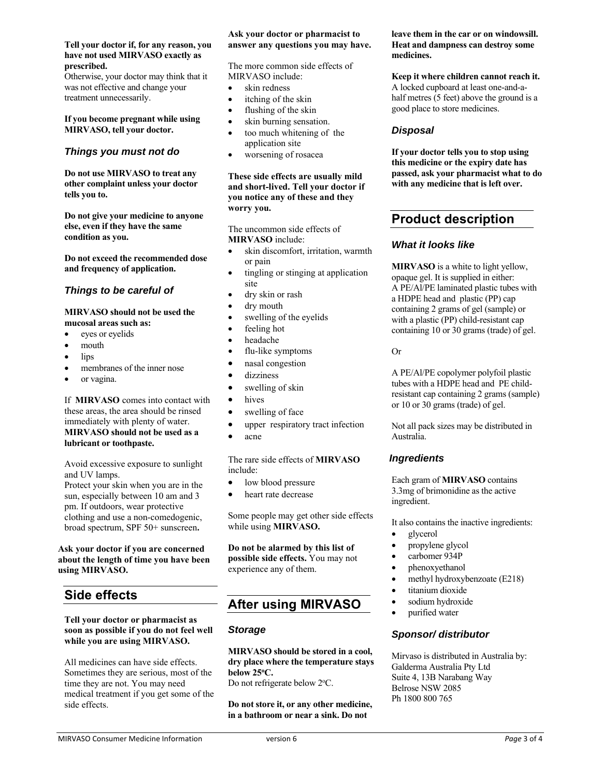#### **Tell your doctor if, for any reason, you have not used MIRVASO exactly as prescribed.**

Otherwise, your doctor may think that it was not effective and change your treatment unnecessarily.

#### **If you become pregnant while using MIRVASO, tell your doctor.**

### *Things you must not do*

**Do not use MIRVASO to treat any other complaint unless your doctor tells you to.** 

**Do not give your medicine to anyone else, even if they have the same condition as you.** 

**Do not exceed the recommended dose and frequency of application.** 

### *Things to be careful of*

#### **MIRVASO should not be used the mucosal areas such as:**

- eyes or eyelids
- mouth
- lips
- membranes of the inner nose
- or vagina.

If **MIRVASO** comes into contact with these areas, the area should be rinsed immediately with plenty of water. **MIRVASO should not be used as a lubricant or toothpaste.** 

Avoid excessive exposure to sunlight and UV lamps.

Protect your skin when you are in the sun, especially between 10 am and 3 pm. If outdoors, wear protective clothing and use a non-comedogenic, broad spectrum, SPF 50+ sunscreen**.**

### **Ask your doctor if you are concerned about the length of time you have been using MIRVASO.**

# **Side effects**

#### **Tell your doctor or pharmacist as soon as possible if you do not feel well while you are using MIRVASO.**

All medicines can have side effects. Sometimes they are serious, most of the time they are not. You may need medical treatment if you get some of the side effects.

### **Ask your doctor or pharmacist to answer any questions you may have.**

The more common side effects of MIRVASO include:

- skin redness
- itching of the skin
- flushing of the skin
- skin burning sensation.
- too much whitening of the application site
- worsening of rosacea

### **These side effects are usually mild and short-lived. Tell your doctor if you notice any of these and they worry you.**

The uncommon side effects of **MIRVASO** include:

- skin discomfort, irritation, warmth or pain
- tingling or stinging at application site
- dry skin or rash
- dry mouth
- swelling of the eyelids
- feeling hot
- headache
- flu-like symptoms
- nasal congestion
- dizziness
- swelling of skin
- hives
- swelling of face
- upper respiratory tract infection
- acne

The rare side effects of **MIRVASO** include:

- low blood pressure
- heart rate decrease

Some people may get other side effects while using **MIRVASO.**

**Do not be alarmed by this list of possible side effects.** You may not experience any of them.

# **After using MIRVASO**

# *Storage*

**MIRVASO should be stored in a cool, dry place where the temperature stays below 25o C.** 

Do not refrigerate below 2°C.

**Do not store it, or any other medicine, in a bathroom or near a sink. Do not** 

### **leave them in the car or on windowsill. Heat and dampness can destroy some medicines.**

**Keep it where children cannot reach it.**  A locked cupboard at least one-and-ahalf metres (5 feet) above the ground is a good place to store medicines.

# *Disposal*

**If your doctor tells you to stop using this medicine or the expiry date has passed, ask your pharmacist what to do with any medicine that is left over.**

# **Product description**

# *What it looks like*

**MIRVASO** is a white to light yellow, opaque gel. It is supplied in either: A PE/Al/PE laminated plastic tubes with a HDPE head and plastic (PP) cap containing 2 grams of gel (sample) or with a plastic (PP) child-resistant cap containing 10 or 30 grams (trade) of gel.

### Or

A PE/Al/PE copolymer polyfoil plastic tubes with a HDPE head and PE childresistant cap containing 2 grams (sample) or 10 or 30 grams (trade) of gel.

Not all pack sizes may be distributed in Australia.

# *Ingredients*

Each gram of **MIRVASO** contains 3.3mg of brimonidine as the active ingredient.

It also contains the inactive ingredients:

- glycerol
- propylene glycol
- carbomer 934P
- phenoxyethanol
- methyl hydroxybenzoate (E218)
	- titanium dioxide
- sodium hydroxide
- purified water

# *Sponsor/ distributor*

Mirvaso is distributed in Australia by: Galderma Australia Pty Ltd Suite 4, 13B Narabang Way Belrose NSW 2085 Ph 1800 800 765